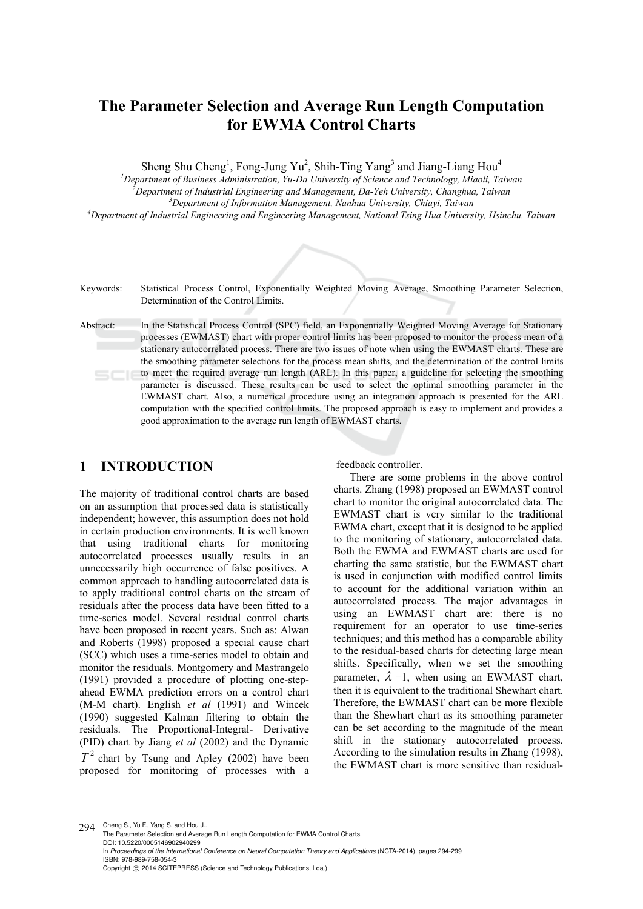# **The Parameter Selection and Average Run Length Computation for EWMA Control Charts**

Sheng Shu Cheng<sup>1</sup>, Fong-Jung Yu<sup>2</sup>, Shih-Ting Yang<sup>3</sup> and Jiang-Liang Hou<sup>4</sup>

*1 Department of Business Administration, Yu-Da University of Science and Technology, Miaoli, Taiwan 2*

<sup>7</sup>Department of Industrial Engineering and Management, Da-Yeh University, Changhua, Taiwan

*Department of Information Management, Nanhua University, Chiayi, Taiwan*

*4 Department of Industrial Engineering and Engineering Management, National Tsing Hua University, Hsinchu, Taiwan*



# **1 INTRODUCTION**

The majority of traditional control charts are based on an assumption that processed data is statistically independent; however, this assumption does not hold in certain production environments. It is well known that using traditional charts for monitoring autocorrelated processes usually results in an unnecessarily high occurrence of false positives. A common approach to handling autocorrelated data is to apply traditional control charts on the stream of residuals after the process data have been fitted to a time-series model. Several residual control charts have been proposed in recent years. Such as: Alwan and Roberts (1998) proposed a special cause chart (SCC) which uses a time-series model to obtain and monitor the residuals. Montgomery and Mastrangelo (1991) provided a procedure of plotting one-stepahead EWMA prediction errors on a control chart (M-M chart). English *et al* (1991) and Wincek (1990) suggested Kalman filtering to obtain the residuals. The Proportional-Integral- Derivative (PID) chart by Jiang *et al* (2002) and the Dynamic  $T<sup>2</sup>$  chart by Tsung and Apley (2002) have been

proposed for monitoring of processes with a

feedback controller.

There are some problems in the above control charts. Zhang (1998) proposed an EWMAST control chart to monitor the original autocorrelated data. The EWMAST chart is very similar to the traditional EWMA chart, except that it is designed to be applied to the monitoring of stationary, autocorrelated data. Both the EWMA and EWMAST charts are used for charting the same statistic, but the EWMAST chart is used in conjunction with modified control limits to account for the additional variation within an autocorrelated process. The major advantages in using an EWMAST chart are: there is no requirement for an operator to use time-series techniques; and this method has a comparable ability to the residual-based charts for detecting large mean shifts. Specifically, when we set the smoothing parameter,  $\lambda = 1$ , when using an EWMAST chart, then it is equivalent to the traditional Shewhart chart. Therefore, the EWMAST chart can be more flexible than the Shewhart chart as its smoothing parameter can be set according to the magnitude of the mean shift in the stationary autocorrelated process. According to the simulation results in Zhang (1998), the EWMAST chart is more sensitive than residual-

294 Cheng S., Yu F., Yang S. and Hou J.. The Parameter Selection and Average Run Length Computation for EWMA Control Charts. DOI: 10.5220/0005146902940299 In *Proceedings of the International Conference on Neural Computation Theory and Applications* (NCTA-2014), pages 294-299 ISBN: 978-989-758-054-3 Copyright © 2014 SCITEPRESS (Science and Technology Publications, Lda.)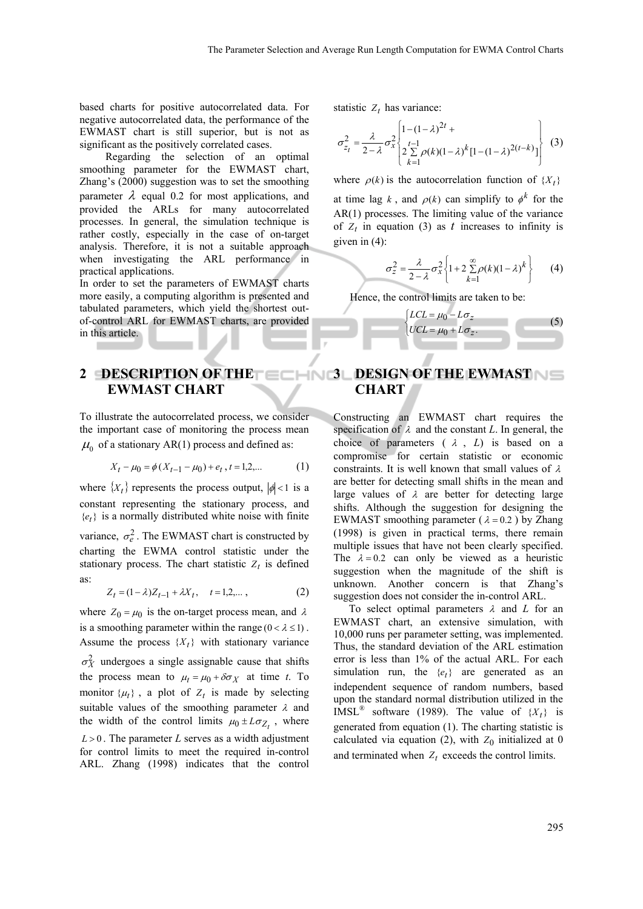based charts for positive autocorrelated data. For negative autocorrelated data, the performance of the EWMAST chart is still superior, but is not as significant as the positively correlated cases.

Regarding the selection of an optimal smoothing parameter for the EWMAST chart, Zhang's (2000) suggestion was to set the smoothing parameter  $\lambda$  equal 0.2 for most applications, and provided the ARLs for many autocorrelated processes. In general, the simulation technique is rather costly, especially in the case of on-target analysis. Therefore, it is not a suitable approach when investigating the ARL performance in practical applications.

In order to set the parameters of EWMAST charts more easily, a computing algorithm is presented and tabulated parameters, which yield the shortest outof-control ARL for EWMAST charts, are provided in this article.

# **2 DESCRIPTION OF THE EWMAST CHART**

To illustrate the autocorrelated process, we consider the important case of monitoring the process mean  $\mu_0$  of a stationary AR(1) process and defined as:

$$
X_t - \mu_0 = \phi \left( X_{t-1} - \mu_0 \right) + e_t, t = 1, 2, \dots \tag{1}
$$

where  $\{X_t\}$  represents the process output,  $|\phi| < 1$  is a constant representing the stationary process, and  ${e_t}$  is a normally distributed white noise with finite variance,  $\sigma_e^2$ . The EWMAST chart is constructed by charting the EWMA control statistic under the stationary process. The chart statistic  $Z_t$  is defined as:

$$
Z_t = (1 - \lambda)Z_{t-1} + \lambda X_t, \quad t = 1, 2, \dots,
$$
 (2)

where  $Z_0 = \mu_0$  is the on-target process mean, and  $\lambda$ is a smoothing parameter within the range  $(0 < \lambda \le 1)$ . Assume the process  $\{X_t\}$  with stationary variance  $\sigma_X^2$  undergoes a single assignable cause that shifts the process mean to  $\mu_t = \mu_0 + \delta \sigma_X$  at time *t*. To monitor  $\{\mu_t\}$ , a plot of  $Z_t$  is made by selecting suitable values of the smoothing parameter  $\lambda$  and the width of the control limits  $\mu_0 \pm L \sigma_{Z_t}$ , where  $L > 0$ . The parameter *L* serves as a width adjustment for control limits to meet the required in-control ARL. Zhang (1998) indicates that the control statistic  $Z_t$  has variance:

l

$$
\sigma_{z_t}^2 = \frac{\lambda}{2 - \lambda} \sigma_x^2 \begin{cases} 1 - (1 - \lambda)^{2t} + \\ 2 \sum_{k=1}^{t-1} \rho(k)(1 - \lambda)^k [1 - (1 - \lambda)^{2(t-k)}] \\ 1 - (1 - \lambda)^{2(t-k)} \end{cases}
$$
 (3)

where  $\rho(k)$  is the autocorrelation function of  $\{X_t\}$ 

at time lag k, and  $\rho(k)$  can simplify to  $\phi^k$  for the AR(1) processes. The limiting value of the variance of  $Z_t$  in equation (3) as  $t$  increases to infinity is given in (4):

$$
\sigma_z^2 = \frac{\lambda}{2-\lambda} \sigma_x^2 \left\{ 1 + 2 \sum_{k=1}^{\infty} \rho(k) (1-\lambda)^k \right\}
$$
 (4)

Hence, the control limits are taken to be:

$$
\begin{cases}\nLCL = \mu_0 - L\sigma_z \\
UCL = \mu_0 + L\sigma_z.\n\end{cases} (5)
$$

# **3 DESIGN OF THE EWMAST NEW CHART**

Constructing an EWMAST chart requires the specification of  $\lambda$  and the constant *L*. In general, the choice of parameters  $(\lambda, L)$  is based on a compromise for certain statistic or economic constraints. It is well known that small values of  $\lambda$ are better for detecting small shifts in the mean and large values of  $\lambda$  are better for detecting large shifts. Although the suggestion for designing the EWMAST smoothing parameter ( $\lambda = 0.2$ ) by Zhang (1998) is given in practical terms, there remain multiple issues that have not been clearly specified. The  $\lambda = 0.2$  can only be viewed as a heuristic suggestion when the magnitude of the shift is unknown. Another concern is that Zhang's suggestion does not consider the in-control ARL.

To select optimal parameters  $\lambda$  and  $L$  for an EWMAST chart, an extensive simulation, with 10,000 runs per parameter setting, was implemented. Thus, the standard deviation of the ARL estimation error is less than 1% of the actual ARL. For each simulation run, the  ${e_t}$  are generated as an independent sequence of random numbers, based upon the standard normal distribution utilized in the IMSL<sup>®</sup> software (1989). The value of  $\{X_t\}$  is generated from equation (1). The charting statistic is calculated via equation (2), with  $Z_0$  initialized at 0 and terminated when  $Z_t$  exceeds the control limits.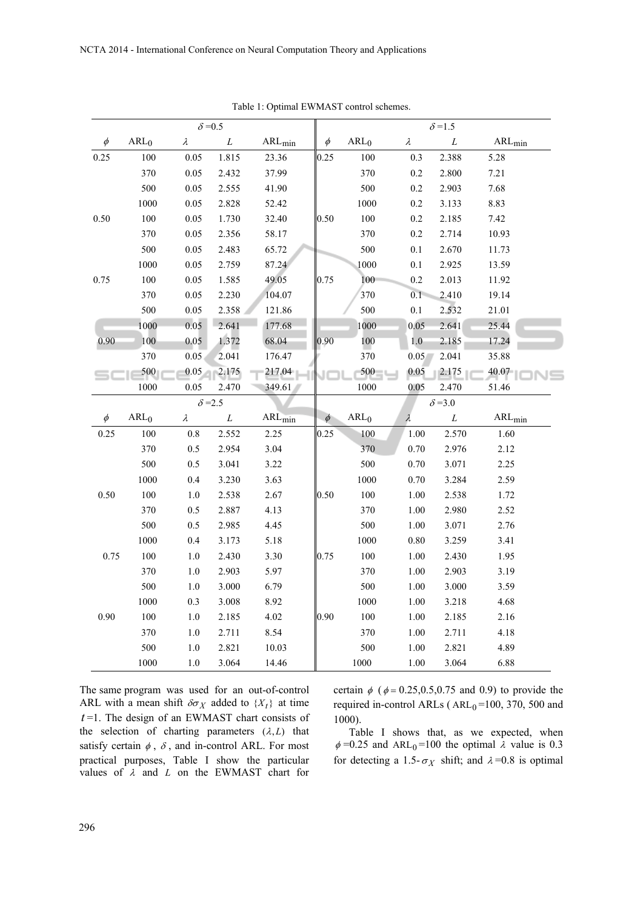|        | $\delta = 0.5$   |                |            |                           |        | $\delta = 1.5$   |           |                |                           |  |
|--------|------------------|----------------|------------|---------------------------|--------|------------------|-----------|----------------|---------------------------|--|
| $\phi$ | ARL <sub>0</sub> | $\lambda$      | ${\cal L}$ | $\text{ARL}_{\text{min}}$ | $\phi$ | ARL <sub>0</sub> | $\lambda$ | ${\cal L}$     | $\text{ARL}_{\text{min}}$ |  |
| 0.25   | 100              | 0.05           | 1.815      | 23.36                     | 0.25   | 100              | 0.3       | 2.388          | 5.28                      |  |
|        | 370              | $0.05\,$       | 2.432      | 37.99                     |        | 370              | 0.2       | 2.800          | 7.21                      |  |
|        | 500              | 0.05           | 2.555      | 41.90                     |        | 500              | 0.2       | 2.903          | 7.68                      |  |
|        | 1000             | 0.05           | 2.828      | 52.42                     |        | 1000             | $0.2\,$   | 3.133          | 8.83                      |  |
| 0.50   | 100              | 0.05           | 1.730      | 32.40                     | 0.50   | 100              | 0.2       | 2.185          | 7.42                      |  |
|        | 370              | 0.05           | 2.356      | 58.17                     |        | 370              | 0.2       | 2.714          | 10.93                     |  |
|        | 500              | 0.05           | 2.483      | 65.72                     |        | 500              | 0.1       | 2.670          | 11.73                     |  |
|        | 1000             | 0.05           | 2.759      | 87.24                     |        | 1000             | 0.1       | 2.925          | 13.59                     |  |
| 0.75   | $100\,$          | 0.05           | 1.585      | 49.05                     | 0.75   | 100              | 0.2       | 2.013          | 11.92                     |  |
|        | 370              | 0.05           | 2.230      | 104.07                    |        | 370              | 0.1       | 2.410          | 19.14                     |  |
|        | 500              | 0.05           | 2.358      | 121.86                    |        | 500              | $0.1\,$   | 2.532          | 21.01                     |  |
|        | 1000             | 0.05           | 2.641      | 177.68                    |        | 1000             | 0.05      | 2.641          | 25.44                     |  |
| 0.90   | 100              | 0.05           | 1.372      | 68.04                     | 0.90   | 100              | $1.0\,$   | 2.185          | 17.24                     |  |
|        | 370              | 0.05           | 2.041      | 176.47                    |        | 370              | 0.05      | 2.041          | 35.88                     |  |
|        | 500              | 0.05           | 2.175      | 217.04                    |        | 500              | 0.05      | 2.175          | 40.07                     |  |
|        | 1000             | 0.05           | 2.470      | 349.61                    |        | 1000             | 0.05      | 2.470          | 51.46                     |  |
|        |                  | $\delta = 2.5$ |            |                           |        |                  |           | $\delta = 3.0$ |                           |  |
| $\phi$ | ARL <sub>0</sub> | $\lambda$      | $\cal L$   | $ARL_{min}$               | $\phi$ | ARL <sub>0</sub> | $\lambda$ | ${\cal L}$     | $ARL_{min}$               |  |
| 0.25   | $100\,$          | $0.8\,$        | 2.552      | 2.25                      | 0.25   | 100              | $1.00\,$  | 2.570          | 1.60                      |  |
|        | 370              | $0.5\,$        | 2.954      | 3.04                      |        | 370              | $0.70\,$  | 2.976          | 2.12                      |  |
|        | 500              | 0.5            | 3.041      | 3.22                      |        | 500              | 0.70      | 3.071          | 2.25                      |  |
|        | 1000             | 0.4            | 3.230      | 3.63                      |        | 1000             | 0.70      | 3.284          | 2.59                      |  |
| 0.50   | 100              | $1.0\,$        | 2.538      | 2.67                      | 0.50   | 100              | 1.00      | 2.538          | 1.72                      |  |
|        | 370              | $0.5\,$        | 2.887      | 4.13                      |        | 370              | 1.00      | 2.980          | 2.52                      |  |
|        | 500              | 0.5            | 2.985      | 4.45                      |        | 500              | 1.00      | 3.071          | 2.76                      |  |
|        | 1000             | 0.4            | 3.173      | 5.18                      |        | 1000             | 0.80      | 3.259          | 3.41                      |  |
| 0.75   | $100\,$          | $1.0\,$        | 2.430      | 3.30                      | 0.75   | 100              | $1.00\,$  | 2.430          | 1.95                      |  |
|        | 370              | $1.0\,$        | 2.903      | 5.97                      |        | 370              | 1.00      | 2.903          | 3.19                      |  |
|        | 500              | $1.0\,$        | 3.000      | 6.79                      |        | 500              | 1.00      | 3.000          | 3.59                      |  |
|        | 1000             | 0.3            | 3.008      | 8.92                      |        | 1000             | 1.00      | 3.218          | 4.68                      |  |
| 0.90   | $100\,$          | $1.0\,$        | 2.185      | 4.02                      | 0.90   | 100              | 1.00      | 2.185          | 2.16                      |  |
|        |                  |                |            |                           |        |                  |           |                |                           |  |
|        | 370              | $1.0\,$        | 2.711      | 8.54                      |        | 370              | 1.00      | 2.711          | 4.18                      |  |
|        | 500              | $1.0\,$        | 2.821      | 10.03                     |        | 500              | $1.00\,$  | 2.821          | 4.89                      |  |

Table 1: Optimal EWMAST control schemes.

The same program was used for an out-of-control ARL with a mean shift  $\delta \sigma_X$  added to  $\{X_t\}$  at time *t* =1. The design of an EWMAST chart consists of the selection of charting parameters  $(\lambda, L)$  that satisfy certain  $\phi$ ,  $\delta$ , and in-control ARL. For most practical purposes, Table I show the particular values of  $\lambda$  and  $L$  on the EWMAST chart for

certain  $\phi$  ( $\phi = 0.25, 0.5, 0.75$  and 0.9) to provide the required in-control ARLs ( $ARL<sub>0</sub> = 100$ , 370, 500 and 1000).

Table I shows that, as we expected, when  $\phi$  =0.25 and ARL<sub>0</sub>=100 the optimal  $\lambda$  value is 0.3 for detecting a 1.5- $\sigma_X$  shift; and  $\lambda = 0.8$  is optimal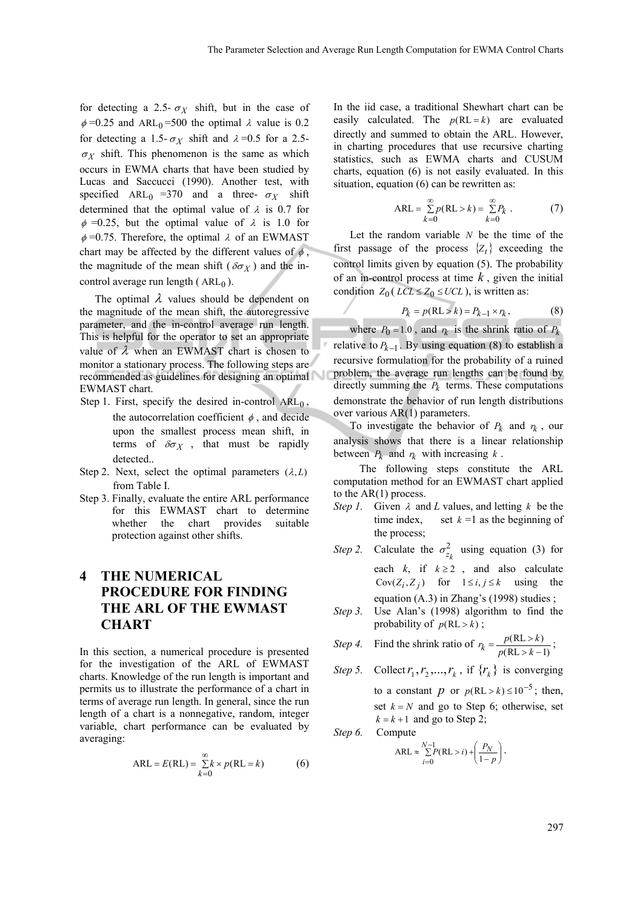for detecting a 2.5-  $\sigma_X$  shift, but in the case of  $\phi$  =0.25 and ARL<sub>0</sub>=500 the optimal  $\lambda$  value is 0.2 for detecting a 1.5- $\sigma_X$  shift and  $\lambda = 0.5$  for a 2.5- $\sigma_X$  shift. This phenomenon is the same as which occurs in EWMA charts that have been studied by Lucas and Saccucci (1990). Another test, with specified  $ARL_0 = 370$  and a three-  $\sigma_X$  shift determined that the optimal value of  $\lambda$  is 0.7 for  $\phi$  =0.25, but the optimal value of  $\lambda$  is 1.0 for  $\phi$  =0.75. Therefore, the optimal  $\lambda$  of an EWMAST chart may be affected by the different values of  $\phi$ , the magnitude of the mean shift ( $\delta \sigma_X$ ) and the incontrol average run length ( $ARL<sub>0</sub>$ ).

The optimal  $\lambda$  values should be dependent on the magnitude of the mean shift, the autoregressive parameter, and the in-control average run length. This is helpful for the operator to set an appropriate value of  $\lambda$  when an EWMAST chart is chosen to monitor a stationary process. The following steps are recommended as guidelines for designing an optimal EWMAST chart.

- Step 1. First, specify the desired in-control  $ARL<sub>0</sub>$ , the autocorrelation coefficient  $\phi$ , and decide upon the smallest process mean shift, in terms of  $\delta \sigma_X$ , that must be rapidly detected..
- Step 2. Next, select the optimal parameters  $(\lambda, L)$ from Table I.
- Step 3. Finally, evaluate the entire ARL performance for this EWMAST chart to determine whether the chart provides suitable protection against other shifts.

# **4 THE NUMERICAL PROCEDURE FOR FINDING THE ARL OF THE EWMAST CHART**

In this section, a numerical procedure is presented for the investigation of the ARL of EWMAST charts. Knowledge of the run length is important and permits us to illustrate the performance of a chart in terms of average run length. In general, since the run length of a chart is a nonnegative, random, integer variable, chart performance can be evaluated by averaging:

$$
ARL = E(RL) = \sum_{k=0}^{\infty} k \times p(RL = k)
$$
 (6)

In the iid case, a traditional Shewhart chart can be easily calculated. The  $p(RL = k)$  are evaluated directly and summed to obtain the ARL. However, in charting procedures that use recursive charting statistics, such as EWMA charts and CUSUM charts, equation (6) is not easily evaluated. In this situation, equation (6) can be rewritten as:

$$
ARL = \sum_{k=0}^{\infty} p(RL > k) = \sum_{k=0}^{\infty} P_k . \tag{7}
$$

Let the random variable *N* be the time of the first passage of the process  $\{Z_t\}$  exceeding the control limits given by equation (5). The probability of an in-control process at time *k* , given the initial condition  $Z_0$  (*LCL*  $\leq Z_0 \leq UCL$ ), is written as:

$$
P_k = p(RL > k) = P_{k-1} \times r_k, \qquad (8)
$$

where  $P_0 = 1.0$ , and  $r_k$  is the shrink ratio of  $P_k$ relative to  $P_{k-1}$ . By using equation (8) to establish a recursive formulation for the probability of a ruined problem, the average run lengths can be found by directly summing the  $P_k$  terms. These computations demonstrate the behavior of run length distributions over various AR(1) parameters.

To investigate the behavior of  $P_k$  and  $r_k$ , our analysis shows that there is a linear relationship between  $P_k$  and  $r_k$  with increasing  $k$ .

The following steps constitute the ARL computation method for an EWMAST chart applied to the AR(1) process.

- *Step 1.* Given  $\lambda$  and *L* values, and letting  $k$  be the time index, set  $k = 1$  as the beginning of the process;
- *Step 2.* Calculate the  $\sigma_{z_k}^2$  using equation (3) for each  $k$ , if  $k \ge 2$ , and also calculate  $Cov(Z_i, Z_j)$  for  $1 \leq i, j \leq k$  using the equation (A.3) in Zhang's (1998) studies ;
- *Step 3.* Use Alan's (1998) algorithm to find the probability of  $p(RL > k)$ ;

Step 4. Find the shrink ratio of 
$$
r_k = \frac{p(RL > k)}{p(RL > k - 1)}
$$
;

Step 5. Collect 
$$
r_1, r_2, ..., r_k
$$
, if  $\{r_k\}$  is converging  
to a constant  $p$  or  $p(RL > k) \le 10^{-5}$ ; then,  
set  $k = N$  and go to Step 6; otherwise, set  
 $k = k + 1$  and go to Step 2;

*Step 6.* Compute

$$
ARL \approx \sum_{i=0}^{N-1} P(RL > i) + \left(\frac{P_N}{1-p}\right).
$$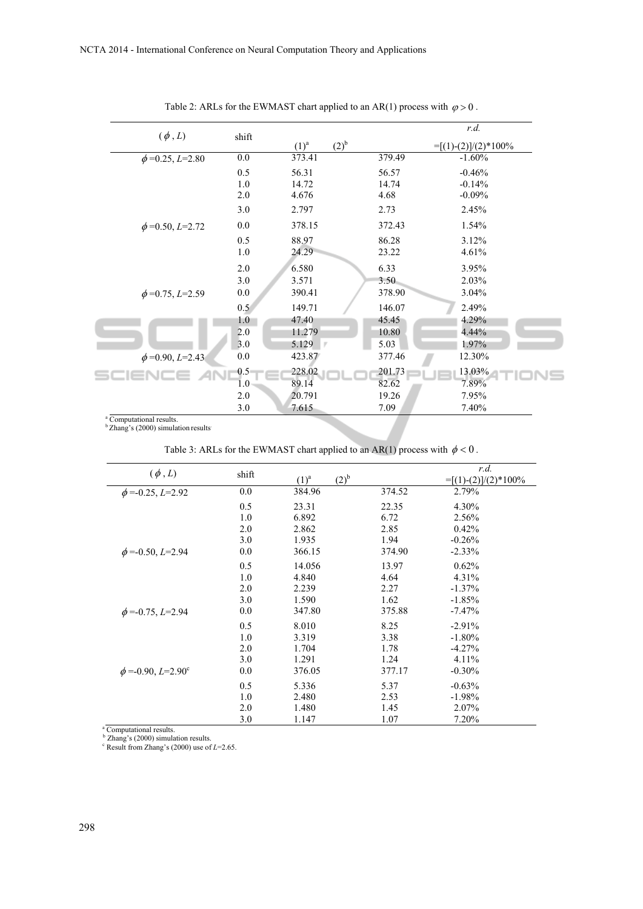|                      |                  |                             |        | r.d.                   |  |  |
|----------------------|------------------|-----------------------------|--------|------------------------|--|--|
| $(\phi, L)$          | shift            | (2) <sup>b</sup><br>$(1)^a$ |        | $=[(1)-(2)]/(2)*100\%$ |  |  |
| $\phi$ =0.25, L=2.80 | $\overline{0.0}$ | 373.41                      | 379.49 | $-1.60%$               |  |  |
|                      | 0.5              | 56.31                       | 56.57  | $-0.46%$               |  |  |
|                      | 1.0              | 14.72                       | 14.74  | $-0.14%$               |  |  |
|                      | 2.0              | 4.676                       | 4.68   | $-0.09%$               |  |  |
|                      | 3.0              | 2.797                       | 2.73   | 2.45%                  |  |  |
| $\phi$ =0.50, L=2.72 | $0.0\,$          | 378.15                      | 372.43 | 1.54%                  |  |  |
|                      | 0.5              | 88.97                       | 86.28  | 3.12%                  |  |  |
|                      | 1.0              | 24.29                       | 23.22  | 4.61%                  |  |  |
|                      | 2.0              | 6.580                       | 6.33   | 3.95%                  |  |  |
|                      | 3.0              | 3.571                       | 3.50   | 2.03%                  |  |  |
| $\phi$ =0.75, L=2.59 | $0.0\,$          | 390.41                      | 378.90 | 3.04%                  |  |  |
|                      | 0.5              | 149.71                      | 146.07 | 2.49%                  |  |  |
|                      | 1.0              | 47.40                       | 45.45  | 4.29%                  |  |  |
|                      | 2.0              | 11.279                      | 10.80  | 4.44%                  |  |  |
|                      | 3.0              | 5.129                       | 5.03   | 1.97%                  |  |  |
| $\phi$ =0.90, L=2.43 | 0.0              | 423.87                      | 377.46 | 12.30%                 |  |  |
| sc                   | 0.5              | 228.02                      | 201.73 | 13.03%                 |  |  |
|                      | $1.0\,$          | 89.14                       | 82.62  | 7.89%                  |  |  |
|                      | 2.0              | 20.791                      | 19.26  | 7.95%                  |  |  |
|                      | 3.0              | 7.615                       | 7.09   | 7.40%                  |  |  |

Table 2: ARLs for the EWMAST chart applied to an AR(1) process with  $\varphi > 0$ .

<sup>a</sup> Computational results.<br><sup>b</sup> Zhang's (2000) simulation results

Table 3: ARLs for the EWMAST chart applied to an AR(1) process with  $\phi < 0$ .

| $(\phi, L)$                      | shift | $(2)^{b}$<br>$(1)^a$ |        | r.d.<br>$=[(1)-(2)]/(2)*100\%$ |
|----------------------------------|-------|----------------------|--------|--------------------------------|
| $\phi$ =-0.25, L=2.92            | 0.0   | 384.96               | 374.52 | 2.79%                          |
|                                  | 0.5   | 23.31                | 22.35  | 4.30%                          |
|                                  | 1.0   | 6.892                | 6.72   | 2.56%                          |
|                                  | 2.0   | 2.862                | 2.85   | 0.42%                          |
|                                  | 3.0   | 1.935                | 1.94   | $-0.26%$                       |
| $\phi$ =-0.50, L=2.94            | 0.0   | 366.15               | 374.90 | $-2.33%$                       |
|                                  | 0.5   | 14.056               | 13.97  | 0.62%                          |
|                                  | 1.0   | 4.840                | 4.64   | 4.31%                          |
|                                  | 2.0   | 2.239                | 2.27   | $-1.37\%$                      |
|                                  | 3.0   | 1.590                | 1.62   | $-1.85%$                       |
| $\phi$ =-0.75, L=2.94            | 0.0   | 347.80               | 375.88 | $-7.47%$                       |
|                                  | 0.5   | 8.010                | 8.25   | $-2.91%$                       |
|                                  | 1.0   | 3.319                | 3.38   | $-1.80%$                       |
|                                  | 2.0   | 1.704                | 1.78   | $-4.27%$                       |
|                                  | 3.0   | 1.291                | 1.24   | 4.11%                          |
| $\phi = -0.90, L = 2.90^{\circ}$ | 0.0   | 376.05               | 377.17 | $-0.30%$                       |
|                                  | 0.5   | 5.336                | 5.37   | $-0.63%$                       |
|                                  | 1.0   | 2.480                | 2.53   | $-1.98%$                       |
|                                  | 2.0   | 1.480                | 1.45   | 2.07%                          |
|                                  | 3.0   | 1.147                | 1.07   | 7.20%                          |